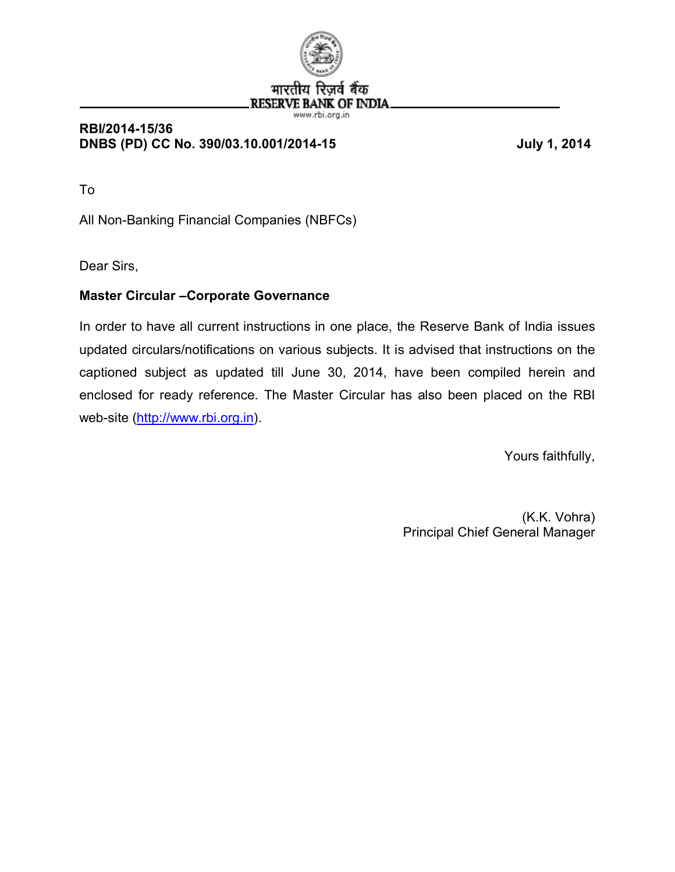

( OF INDIA.

#### www.rbi.org.in **RBI/2014-15/36 DNBS (PD) CC No. 390/03.10.001/2014-15 July 1, 2014**

To

All Non-Banking Financial Companies (NBFCs)

Dear Sirs,

### **Master Circular –Corporate Governance**

In order to have all current instructions in one place, the Reserve Bank of India issues updated circulars/notifications on various subjects. It is advised that instructions on the captioned subject as updated till June 30, 2014, have been compiled herein and enclosed for ready reference. The Master Circular has also been placed on the RBI web-site (http://www.rbi.org.in).

Yours faithfully,

 (K.K. Vohra) Principal Chief General Manager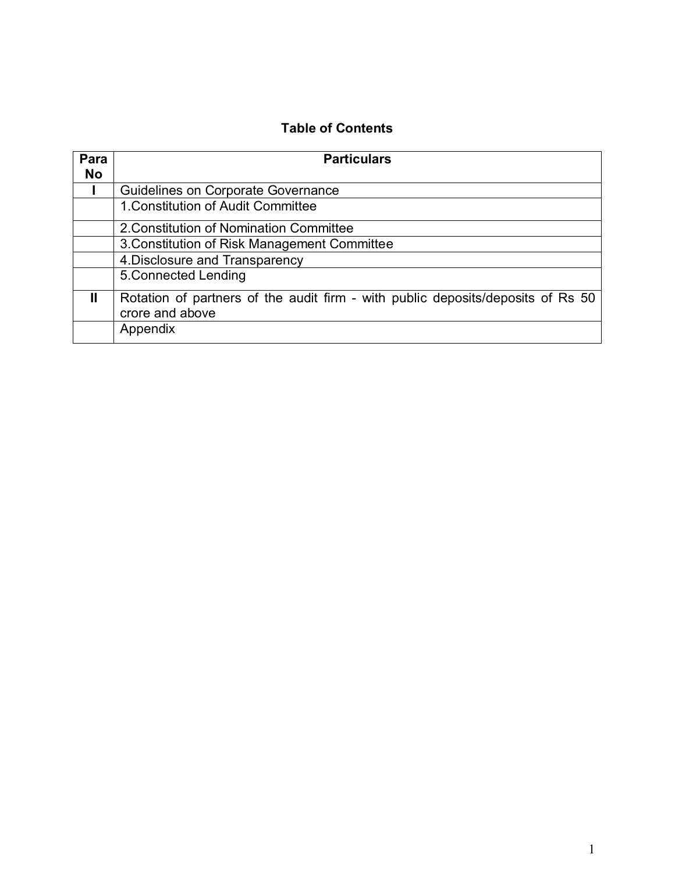### **Table of Contents**

| Para      | <b>Particulars</b>                                                                                 |  |  |
|-----------|----------------------------------------------------------------------------------------------------|--|--|
| <b>No</b> |                                                                                                    |  |  |
|           | Guidelines on Corporate Governance                                                                 |  |  |
|           | 1. Constitution of Audit Committee                                                                 |  |  |
|           | 2. Constitution of Nomination Committee                                                            |  |  |
|           | 3. Constitution of Risk Management Committee                                                       |  |  |
|           | 4. Disclosure and Transparency                                                                     |  |  |
|           | 5. Connected Lending                                                                               |  |  |
| Ш         | Rotation of partners of the audit firm - with public deposits/deposits of Rs 50<br>crore and above |  |  |
|           | Appendix                                                                                           |  |  |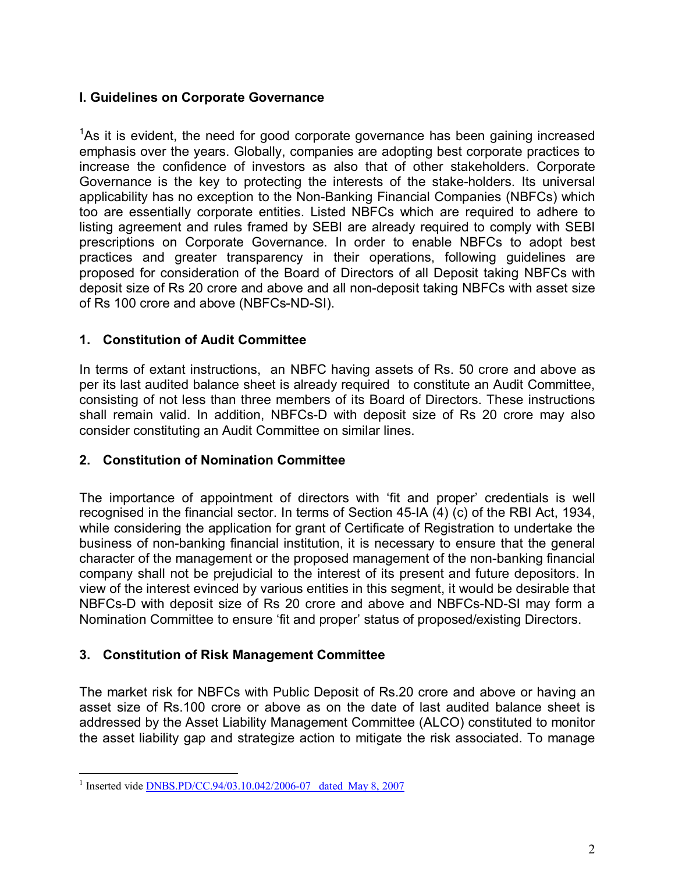#### **I. Guidelines on Corporate Governance**

<sup>1</sup>[A](#page-2-0)s it is evident, the need for good corporate governance has been gaining increased emphasis over the years. Globally, companies are adopting best corporate practices to increase the confidence of investors as also that of other stakeholders. Corporate Governance is the key to protecting the interests of the stake-holders. Its universal applicability has no exception to the Non-Banking Financial Companies (NBFCs) which too are essentially corporate entities. Listed NBFCs which are required to adhere to listing agreement and rules framed by SEBI are already required to comply with SEBI prescriptions on Corporate Governance. In order to enable NBFCs to adopt best practices and greater transparency in their operations, following guidelines are proposed for consideration of the Board of Directors of all Deposit taking NBFCs with deposit size of Rs 20 crore and above and all non-deposit taking NBFCs with asset size of Rs 100 crore and above (NBFCs-ND-SI).

#### **1. Constitution of Audit Committee**

In terms of extant instructions, an NBFC having assets of Rs. 50 crore and above as per its last audited balance sheet is already required to constitute an Audit Committee, consisting of not less than three members of its Board of Directors. These instructions shall remain valid. In addition, NBFCs-D with deposit size of Rs 20 crore may also consider constituting an Audit Committee on similar lines.

#### **2. Constitution of Nomination Committee**

The importance of appointment of directors with 'fit and proper' credentials is well recognised in the financial sector. In terms of Section 45-IA (4) (c) of the RBI Act, 1934, while considering the application for grant of Certificate of Registration to undertake the business of non-banking financial institution, it is necessary to ensure that the general character of the management or the proposed management of the non-banking financial company shall not be prejudicial to the interest of its present and future depositors. In view of the interest evinced by various entities in this segment, it would be desirable that NBFCs-D with deposit size of Rs 20 crore and above and NBFCs-ND-SI may form a Nomination Committee to ensure 'fit and proper' status of proposed/existing Directors.

#### **3. Constitution of Risk Management Committee**

The market risk for NBFCs with Public Deposit of Rs.20 crore and above or having an asset size of Rs.100 crore or above as on the date of last audited balance sheet is addressed by the Asset Liability Management Committee (ALCO) constituted to monitor the asset liability gap and strategize action to mitigate the risk associated. To manage

<span id="page-2-0"></span><sup>&</sup>lt;sup>1</sup> Inserted vide **DNBS.PD/CC.94/03.10.042/2006-07** dated May 8, 2007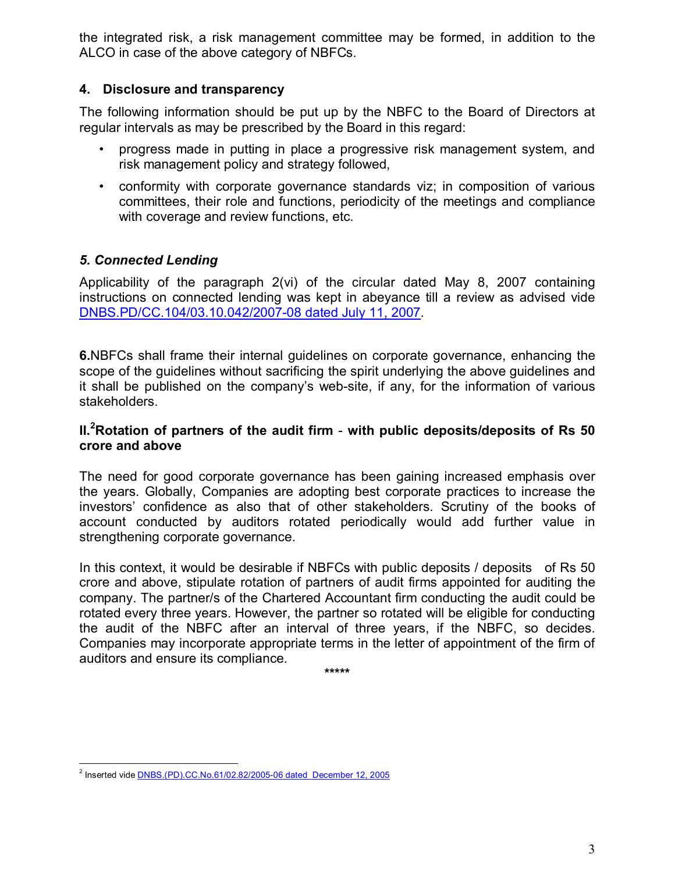the integrated risk, a risk management committee may be formed, in addition to the ALCO in case of the above category of NBFCs.

#### **4. Disclosure and transparency**

The following information should be put up by the NBFC to the Board of Directors at regular intervals as may be prescribed by the Board in this regard:

- progress made in putting in place a progressive risk management system, and risk management policy and strategy followed,
- conformity with corporate governance standards viz; in composition of various committees, their role and functions, periodicity of the meetings and compliance with coverage and review functions, etc.

### *5. Connected Lending*

Applicability of the paragraph 2(vi) of the circular dated May 8, 2007 containing instructions on connected lending was kept in abeyance till a review as advised vide [DNBS.PD/CC.104/03.10.042/2007-08 dated July 11, 2007.](http://www.rbi.org.in/scripts/NotificationUser.aspx?Id=3706&Mode=0)

**6.**NBFCs shall frame their internal guidelines on corporate governance, enhancing the scope of the guidelines without sacrificing the spirit underlying the above guidelines and it shall be published on the company's web-site, if any, for the information of various stakeholders.

#### **II.<sup>2</sup>[R](#page-3-0)otation of partners of the audit firm** - **with public deposits/deposits of Rs 50 crore and above**

The need for good corporate governance has been gaining increased emphasis over the years. Globally, Companies are adopting best corporate practices to increase the investors' confidence as also that of other stakeholders. Scrutiny of the books of account conducted by auditors rotated periodically would add further value in strengthening corporate governance.

In this context, it would be desirable if NBFCs with public deposits / deposits of Rs 50 crore and above, stipulate rotation of partners of audit firms appointed for auditing the company. The partner/s of the Chartered Accountant firm conducting the audit could be rotated every three years. However, the partner so rotated will be eligible for conducting the audit of the NBFC after an interval of three years, if the NBFC, so decides. Companies may incorporate appropriate terms in the letter of appointment of the firm of auditors and ensure its compliance.

**\*\*\*\*\***

<span id="page-3-0"></span><sup>&</sup>lt;sup>2</sup> Inserted vide **DNBS.(PD).CC.No.61/02.82/2005-06 dated December 12, 2005**